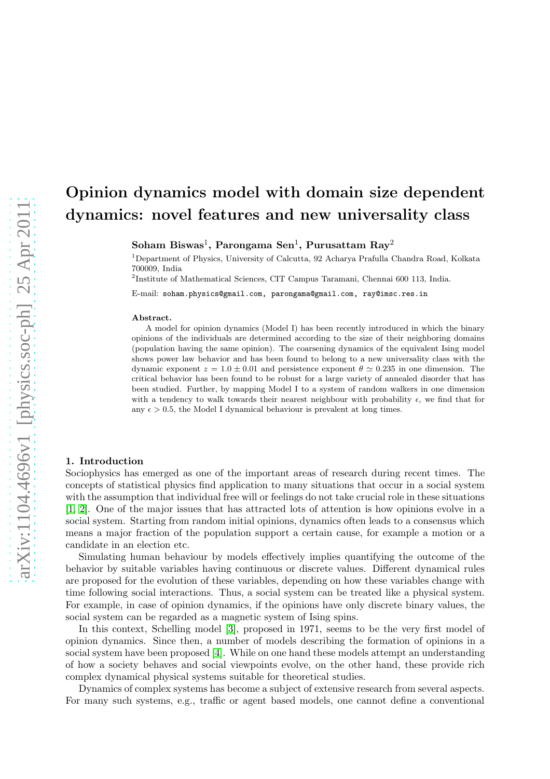# Opinion dynamics model with domain size dependent dynamics: novel features and new universality class

 ${\rm Soham\ B iswas^1,~Parongama~Sen^1,~Purusattam~Ray^2}$ 

<sup>1</sup>Department of Physics, University of Calcutta, 92 Acharya Prafulla Chandra Road, Kolkata 700009, India

2 Institute of Mathematical Sciences, CIT Campus Taramani, Chennai 600 113, India.

E-mail: soham.physics@gmail.com, parongama@gmail.com, ray@imsc.res.in

#### Abstract.

A model for opinion dynamics (Model I) has been recently introduced in which the binary opinions of the individuals are determined according to the size of their neighboring domains (population having the same opinion). The coarsening dynamics of the equivalent Ising model shows power law behavior and has been found to belong to a new universality class with the dynamic exponent  $z = 1.0 \pm 0.01$  and persistence exponent  $\theta \approx 0.235$  in one dimension. The critical behavior has been found to be robust for a large variety of annealed disorder that has been studied. Further, by mapping Model I to a system of random walkers in one dimension with a tendency to walk towards their nearest neighbour with probability  $\epsilon$ , we find that for any  $\epsilon > 0.5$ , the Model I dynamical behaviour is prevalent at long times.

#### 1. Introduction

Sociophysics has emerged as one of the important areas of research during recent times. The concepts of statistical physics find application to many situations that occur in a social system with the assumption that individual free will or feelings do not take crucial role in these situations [\[1,](#page-11-0) [2\]](#page-11-1). One of the major issues that has attracted lots of attention is how opinions evolve in a social system. Starting from random initial opinions, dynamics often leads to a consensus which means a major fraction of the population support a certain cause, for example a motion or a candidate in an election etc.

Simulating human behaviour by models effectively implies quantifying the outcome of the behavior by suitable variables having continuous or discrete values. Different dynamical rules are proposed for the evolution of these variables, depending on how these variables change with time following social interactions. Thus, a social system can be treated like a physical system. For example, in case of opinion dynamics, if the opinions have only discrete binary values, the social system can be regarded as a magnetic system of Ising spins.

In this context, Schelling model [\[3\]](#page-11-2), proposed in 1971, seems to be the very first model of opinion dynamics. Since then, a number of models describing the formation of opinions in a social system have been proposed [\[4\]](#page-11-3). While on one hand these models attempt an understanding of how a society behaves and social viewpoints evolve, on the other hand, these provide rich complex dynamical physical systems suitable for theoretical studies.

Dynamics of complex systems has become a subject of extensive research from several aspects. For many such systems, e.g., traffic or agent based models, one cannot define a conventional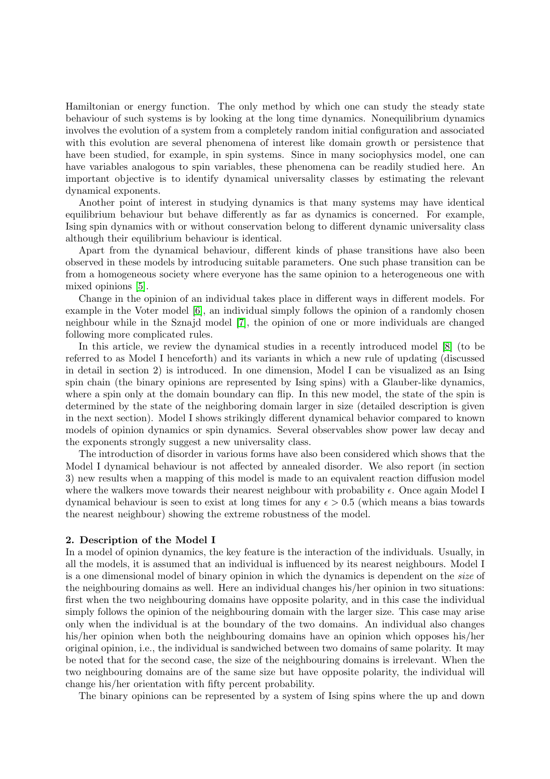Hamiltonian or energy function. The only method by which one can study the steady state behaviour of such systems is by looking at the long time dynamics. Nonequilibrium dynamics involves the evolution of a system from a completely random initial configuration and associated with this evolution are several phenomena of interest like domain growth or persistence that have been studied, for example, in spin systems. Since in many sociophysics model, one can have variables analogous to spin variables, these phenomena can be readily studied here. An important objective is to identify dynamical universality classes by estimating the relevant dynamical exponents.

Another point of interest in studying dynamics is that many systems may have identical equilibrium behaviour but behave differently as far as dynamics is concerned. For example, Ising spin dynamics with or without conservation belong to different dynamic universality class although their equilibrium behaviour is identical.

Apart from the dynamical behaviour, different kinds of phase transitions have also been observed in these models by introducing suitable parameters. One such phase transition can be from a homogeneous society where everyone has the same opinion to a heterogeneous one with mixed opinions [\[5\]](#page-11-4).

Change in the opinion of an individual takes place in different ways in different models. For example in the Voter model [\[6\]](#page-11-5), an individual simply follows the opinion of a randomly chosen neighbour while in the Sznajd model [\[7\]](#page-11-6), the opinion of one or more individuals are changed following more complicated rules.

In this article, we review the dynamical studies in a recently introduced model [\[8\]](#page-11-7) (to be referred to as Model I henceforth) and its variants in which a new rule of updating (discussed in detail in section 2) is introduced. In one dimension, Model I can be visualized as an Ising spin chain (the binary opinions are represented by Ising spins) with a Glauber-like dynamics, where a spin only at the domain boundary can flip. In this new model, the state of the spin is determined by the state of the neighboring domain larger in size (detailed description is given in the next section). Model I shows strikingly different dynamical behavior compared to known models of opinion dynamics or spin dynamics. Several observables show power law decay and the exponents strongly suggest a new universality class.

The introduction of disorder in various forms have also been considered which shows that the Model I dynamical behaviour is not affected by annealed disorder. We also report (in section 3) new results when a mapping of this model is made to an equivalent reaction diffusion model where the walkers move towards their nearest neighbour with probability  $\epsilon$ . Once again Model I dynamical behaviour is seen to exist at long times for any  $\epsilon > 0.5$  (which means a bias towards the nearest neighbour) showing the extreme robustness of the model.

## 2. Description of the Model I

In a model of opinion dynamics, the key feature is the interaction of the individuals. Usually, in all the models, it is assumed that an individual is influenced by its nearest neighbours. Model I is a one dimensional model of binary opinion in which the dynamics is dependent on the size of the neighbouring domains as well. Here an individual changes his/her opinion in two situations: first when the two neighbouring domains have opposite polarity, and in this case the individual simply follows the opinion of the neighbouring domain with the larger size. This case may arise only when the individual is at the boundary of the two domains. An individual also changes his/her opinion when both the neighbouring domains have an opinion which opposes his/her original opinion, i.e., the individual is sandwiched between two domains of same polarity. It may be noted that for the second case, the size of the neighbouring domains is irrelevant. When the two neighbouring domains are of the same size but have opposite polarity, the individual will change his/her orientation with fifty percent probability.

The binary opinions can be represented by a system of Ising spins where the up and down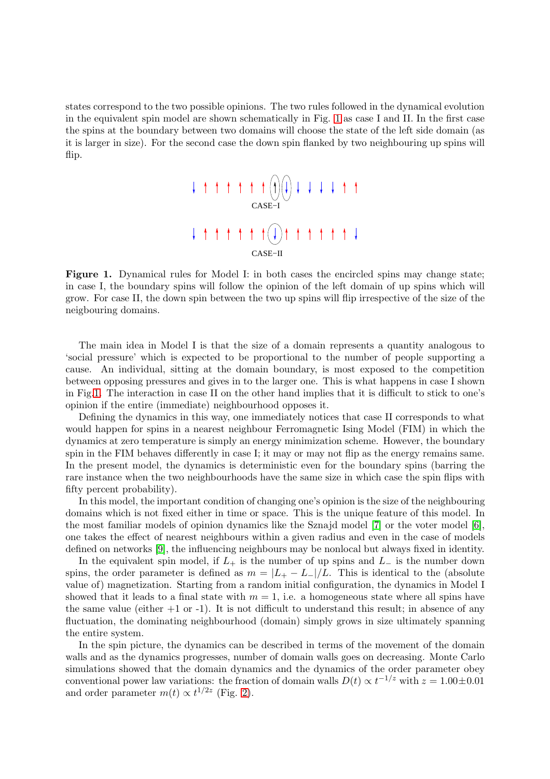states correspond to the two possible opinions. The two rules followed in the dynamical evolution in the equivalent spin model are shown schematically in Fig. [1](#page-2-0) as case I and II. In the first case the spins at the boundary between two domains will choose the state of the left side domain (as it is larger in size). For the second case the down spin flanked by two neighbouring up spins will flip.



<span id="page-2-0"></span>Figure 1. Dynamical rules for Model I: in both cases the encircled spins may change state; in case I, the boundary spins will follow the opinion of the left domain of up spins which will grow. For case II, the down spin between the two up spins will flip irrespective of the size of the neigbouring domains.

The main idea in Model I is that the size of a domain represents a quantity analogous to 'social pressure' which is expected to be proportional to the number of people supporting a cause. An individual, sitting at the domain boundary, is most exposed to the competition between opposing pressures and gives in to the larger one. This is what happens in case I shown in Fig[.1.](#page-2-0) The interaction in case II on the other hand implies that it is difficult to stick to one's opinion if the entire (immediate) neighbourhood opposes it.

Defining the dynamics in this way, one immediately notices that case II corresponds to what would happen for spins in a nearest neighbour Ferromagnetic Ising Model (FIM) in which the dynamics at zero temperature is simply an energy minimization scheme. However, the boundary spin in the FIM behaves differently in case I; it may or may not flip as the energy remains same. In the present model, the dynamics is deterministic even for the boundary spins (barring the rare instance when the two neighbourhoods have the same size in which case the spin flips with fifty percent probability).

In this model, the important condition of changing one's opinion is the size of the neighbouring domains which is not fixed either in time or space. This is the unique feature of this model. In the most familiar models of opinion dynamics like the Sznajd model [\[7\]](#page-11-6) or the voter model [\[6\]](#page-11-5), one takes the effect of nearest neighbours within a given radius and even in the case of models defined on networks [\[9\]](#page-11-8), the influencing neighbours may be nonlocal but always fixed in identity.

In the equivalent spin model, if  $L_{+}$  is the number of up spins and  $L_{-}$  is the number down spins, the order parameter is defined as  $m = |L_{+} - L_{-}|/L$ . This is identical to the (absolute value of) magnetization. Starting from a random initial configuration, the dynamics in Model I showed that it leads to a final state with  $m = 1$ , i.e. a homogeneous state where all spins have the same value (either  $+1$  or  $-1$ ). It is not difficult to understand this result; in absence of any fluctuation, the dominating neighbourhood (domain) simply grows in size ultimately spanning the entire system.

In the spin picture, the dynamics can be described in terms of the movement of the domain walls and as the dynamics progresses, number of domain walls goes on decreasing. Monte Carlo simulations showed that the domain dynamics and the dynamics of the order parameter obey conventional power law variations: the fraction of domain walls  $D(t) \propto t^{-1/z}$  with  $z = 1.00 \pm 0.01$ and order parameter  $m(t) \propto t^{1/2z}$  (Fig. [2\)](#page-3-0).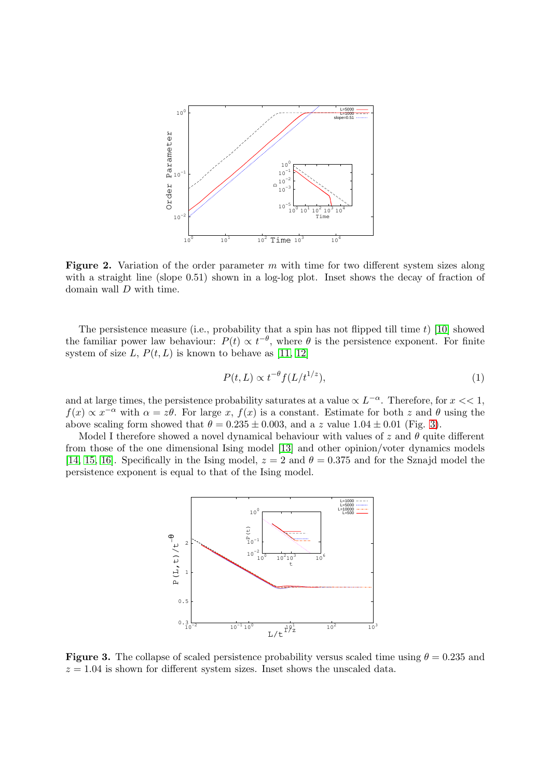

<span id="page-3-0"></span>Figure 2. Variation of the order parameter  $m$  with time for two different system sizes along with a straight line (slope 0.51) shown in a log-log plot. Inset shows the decay of fraction of domain wall D with time.

The persistence measure (i.e., probability that a spin has not flipped till time  $t$ ) [\[10\]](#page-11-9) showed the familiar power law behaviour:  $P(t) \propto t^{-\theta}$ , where  $\theta$  is the persistence exponent. For finite system of size L,  $P(t, L)$  is known to behave as [\[11,](#page-11-10) [12\]](#page-11-11)

$$
P(t, L) \propto t^{-\theta} f(L/t^{1/z}),\tag{1}
$$

and at large times, the persistence probability saturates at a value  $\propto L^{-\alpha}$ . Therefore, for  $x << 1$ ,  $f(x) \propto x^{-\alpha}$  with  $\alpha = z\theta$ . For large x,  $f(x)$  is a constant. Estimate for both z and  $\theta$  using the above scaling form showed that  $\theta = 0.235 \pm 0.003$ , and a z value  $1.04 \pm 0.01$  (Fig. [3\)](#page-3-1).

Model I therefore showed a novel dynamical behaviour with values of z and  $\theta$  quite different from those of the one dimensional Ising model [\[13\]](#page-11-12) and other opinion/voter dynamics models [\[14,](#page-11-13) [15,](#page-11-14) [16\]](#page-11-15). Specifically in the Ising model,  $z = 2$  and  $\theta = 0.375$  and for the Sznajd model the persistence exponent is equal to that of the Ising model.



<span id="page-3-1"></span>**Figure 3.** The collapse of scaled persistence probability versus scaled time using  $\theta = 0.235$  and  $z = 1.04$  is shown for different system sizes. Inset shows the unscaled data.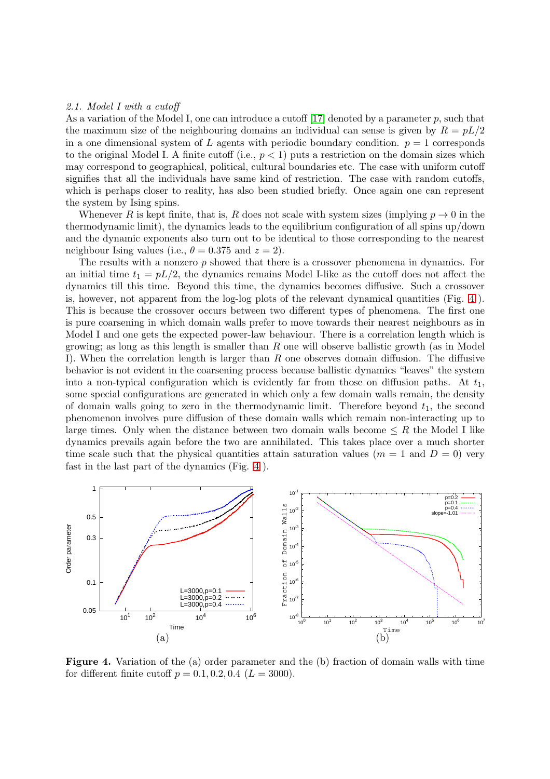### 2.1. Model I with a cutoff

As a variation of the Model I, one can introduce a cutoff [\[17\]](#page-11-16) denoted by a parameter p, such that the maximum size of the neighbouring domains an individual can sense is given by  $R = pL/2$ in a one dimensional system of L agents with periodic boundary condition.  $p = 1$  corresponds to the original Model I. A finite cutoff (i.e.,  $p < 1$ ) puts a restriction on the domain sizes which may correspond to geographical, political, cultural boundaries etc. The case with uniform cutoff signifies that all the individuals have same kind of restriction. The case with random cutoffs, which is perhaps closer to reality, has also been studied briefly. Once again one can represent the system by Ising spins.

Whenever R is kept finite, that is, R does not scale with system sizes (implying  $p \to 0$  in the thermodynamic limit), the dynamics leads to the equilibrium configuration of all spins up/down and the dynamic exponents also turn out to be identical to those corresponding to the nearest neighbour Ising values (i.e.,  $\theta = 0.375$  and  $z = 2$ ).

The results with a nonzero  $p$  showed that there is a crossover phenomena in dynamics. For an initial time  $t_1 = pL/2$ , the dynamics remains Model I-like as the cutoff does not affect the dynamics till this time. Beyond this time, the dynamics becomes diffusive. Such a crossover is, however, not apparent from the log-log plots of the relevant dynamical quantities (Fig. [4](#page-4-0) ). This is because the crossover occurs between two different types of phenomena. The first one is pure coarsening in which domain walls prefer to move towards their nearest neighbours as in Model I and one gets the expected power-law behaviour. There is a correlation length which is growing; as long as this length is smaller than  $R$  one will observe ballistic growth (as in Model I). When the correlation length is larger than  $R$  one observes domain diffusion. The diffusive behavior is not evident in the coarsening process because ballistic dynamics "leaves" the system into a non-typical configuration which is evidently far from those on diffusion paths. At  $t_1$ , some special configurations are generated in which only a few domain walls remain, the density of domain walls going to zero in the thermodynamic limit. Therefore beyond  $t_1$ , the second phenomenon involves pure diffusion of these domain walls which remain non-interacting up to large times. Only when the distance between two domain walls become  $\leq R$  the Model I like dynamics prevails again before the two are annihilated. This takes place over a much shorter time scale such that the physical quantities attain saturation values ( $m = 1$  and  $D = 0$ ) very fast in the last part of the dynamics (Fig. [4](#page-4-0) ).



<span id="page-4-0"></span>Figure 4. Variation of the (a) order parameter and the (b) fraction of domain walls with time for different finite cutoff  $p = 0.1, 0.2, 0.4$   $(L = 3000)$ .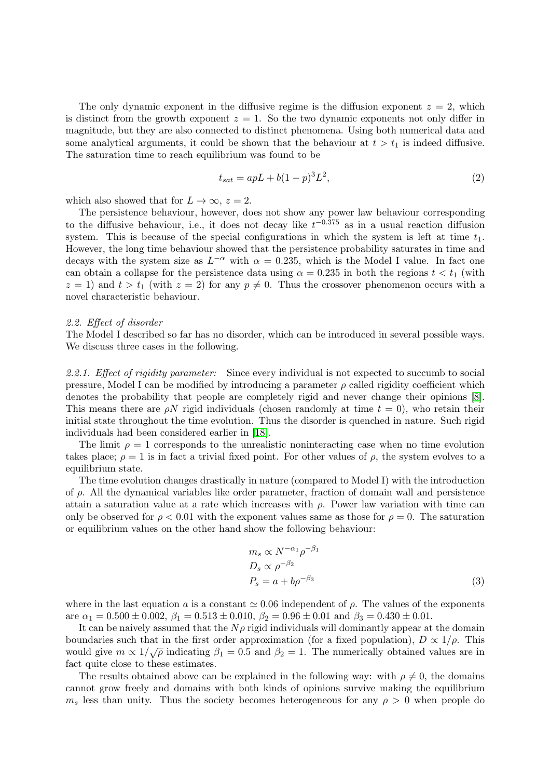The only dynamic exponent in the diffusive regime is the diffusion exponent  $z = 2$ , which is distinct from the growth exponent  $z = 1$ . So the two dynamic exponents not only differ in magnitude, but they are also connected to distinct phenomena. Using both numerical data and some analytical arguments, it could be shown that the behaviour at  $t > t_1$  is indeed diffusive. The saturation time to reach equilibrium was found to be

$$
t_{sat} = apL + b(1-p)^3 L^2,
$$
\n(2)

which also showed that for  $L \to \infty$ ,  $z = 2$ .

The persistence behaviour, however, does not show any power law behaviour corresponding to the diffusive behaviour, i.e., it does not decay like  $t^{-0.375}$  as in a usual reaction diffusion system. This is because of the special configurations in which the system is left at time  $t_1$ . However, the long time behaviour showed that the persistence probability saturates in time and decays with the system size as  $L^{-\alpha}$  with  $\alpha = 0.235$ , which is the Model I value. In fact one can obtain a collapse for the persistence data using  $\alpha = 0.235$  in both the regions  $t < t_1$  (with  $z = 1$ ) and  $t > t_1$  (with  $z = 2$ ) for any  $p \neq 0$ . Thus the crossover phenomenon occurs with a novel characteristic behaviour.

### 2.2. Effect of disorder

The Model I described so far has no disorder, which can be introduced in several possible ways. We discuss three cases in the following.

2.2.1. Effect of rigidity parameter: Since every individual is not expected to succumb to social pressure, Model I can be modified by introducing a parameter  $\rho$  called rigidity coefficient which denotes the probability that people are completely rigid and never change their opinions [\[8\]](#page-11-7). This means there are  $\rho N$  rigid individuals (chosen randomly at time  $t = 0$ ), who retain their initial state throughout the time evolution. Thus the disorder is quenched in nature. Such rigid individuals had been considered earlier in [\[18\]](#page-11-17).

The limit  $\rho = 1$  corresponds to the unrealistic noninteracting case when no time evolution takes place;  $\rho = 1$  is in fact a trivial fixed point. For other values of  $\rho$ , the system evolves to a equilibrium state.

The time evolution changes drastically in nature (compared to Model I) with the introduction of  $\rho$ . All the dynamical variables like order parameter, fraction of domain wall and persistence attain a saturation value at a rate which increases with  $\rho$ . Power law variation with time can only be observed for  $\rho < 0.01$  with the exponent values same as those for  $\rho = 0$ . The saturation or equilibrium values on the other hand show the following behaviour:

$$
m_s \propto N^{-\alpha_1} \rho^{-\beta_1}
$$
  
\n
$$
D_s \propto \rho^{-\beta_2}
$$
  
\n
$$
P_s = a + b\rho^{-\beta_3}
$$
\n(3)

where in the last equation a is a constant  $\simeq 0.06$  independent of  $\rho$ . The values of the exponents are  $\alpha_1 = 0.500 \pm 0.002$ ,  $\beta_1 = 0.513 \pm 0.010$ ,  $\beta_2 = 0.96 \pm 0.01$  and  $\beta_3 = 0.430 \pm 0.01$ .

It can be naively assumed that the  $N\rho$  rigid individuals will dominantly appear at the domain boundaries such that in the first order approximation (for a fixed population),  $D \propto 1/\rho$ . This would give  $m \propto 1/\sqrt{\rho}$  indicating  $\beta_1 = 0.5$  and  $\beta_2 = 1$ . The numerically obtained values are in fact quite close to these estimates.

The results obtained above can be explained in the following way: with  $\rho \neq 0$ , the domains cannot grow freely and domains with both kinds of opinions survive making the equilibrium  $m<sub>s</sub>$  less than unity. Thus the society becomes heterogeneous for any  $\rho > 0$  when people do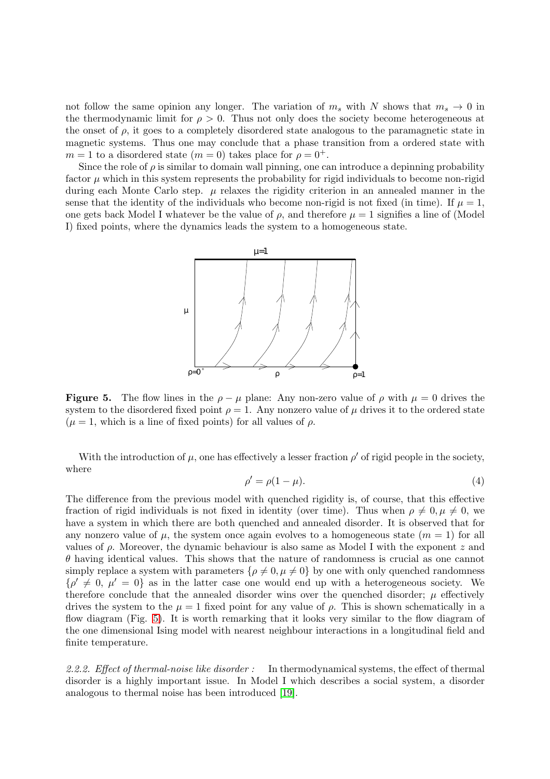not follow the same opinion any longer. The variation of  $m_s$  with N shows that  $m_s \to 0$  in the thermodynamic limit for  $\rho > 0$ . Thus not only does the society become heterogeneous at the onset of  $\rho$ , it goes to a completely disordered state analogous to the paramagnetic state in magnetic systems. Thus one may conclude that a phase transition from a ordered state with  $m = 1$  to a disordered state  $(m = 0)$  takes place for  $\rho = 0^+$ .

Since the role of  $\rho$  is similar to domain wall pinning, one can introduce a depinning probability factor  $\mu$  which in this system represents the probability for rigid individuals to become non-rigid during each Monte Carlo step.  $\mu$  relaxes the rigidity criterion in an annealed manner in the sense that the identity of the individuals who become non-rigid is not fixed (in time). If  $\mu = 1$ , one gets back Model I whatever be the value of  $\rho$ , and therefore  $\mu = 1$  signifies a line of (Model I) fixed points, where the dynamics leads the system to a homogeneous state.



<span id="page-6-0"></span>**Figure 5.** The flow lines in the  $\rho - \mu$  plane: Any non-zero value of  $\rho$  with  $\mu = 0$  drives the system to the disordered fixed point  $\rho = 1$ . Any nonzero value of  $\mu$  drives it to the ordered state  $(\mu = 1, \text{ which is a line of fixed points})$  for all values of  $\rho$ .

With the introduction of  $\mu$ , one has effectively a lesser fraction  $\rho'$  of rigid people in the society, where

$$
\rho' = \rho(1 - \mu). \tag{4}
$$

The difference from the previous model with quenched rigidity is, of course, that this effective fraction of rigid individuals is not fixed in identity (over time). Thus when  $\rho \neq 0, \mu \neq 0$ , we have a system in which there are both quenched and annealed disorder. It is observed that for any nonzero value of  $\mu$ , the system once again evolves to a homogeneous state  $(m = 1)$  for all values of  $\rho$ . Moreover, the dynamic behaviour is also same as Model I with the exponent z and  $\theta$  having identical values. This shows that the nature of randomness is crucial as one cannot simply replace a system with parameters  $\{\rho \neq 0, \mu \neq 0\}$  by one with only quenched randomness  $\{\rho' \neq 0, \mu' = 0\}$  as in the latter case one would end up with a heterogeneous society. We therefore conclude that the annealed disorder wins over the quenched disorder;  $\mu$  effectively drives the system to the  $\mu = 1$  fixed point for any value of  $\rho$ . This is shown schematically in a flow diagram (Fig. [5\)](#page-6-0). It is worth remarking that it looks very similar to the flow diagram of the one dimensional Ising model with nearest neighbour interactions in a longitudinal field and finite temperature.

2.2.2. Effect of thermal-noise like disorder : In thermodynamical systems, the effect of thermal disorder is a highly important issue. In Model I which describes a social system, a disorder analogous to thermal noise has been introduced [\[19\]](#page-11-18).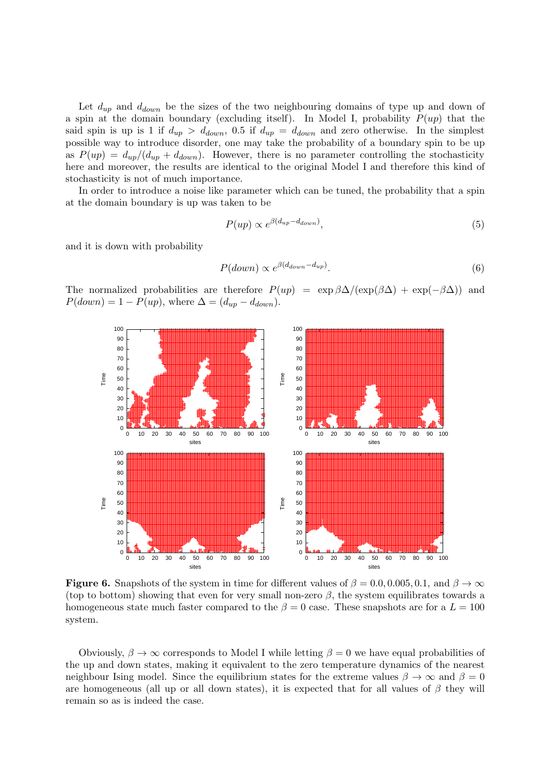Let  $d_{up}$  and  $d_{down}$  be the sizes of the two neighbouring domains of type up and down of a spin at the domain boundary (excluding itself). In Model I, probability  $P(up)$  that the said spin is up is 1 if  $d_{up} > d_{down}$ , 0.5 if  $d_{up} = d_{down}$  and zero otherwise. In the simplest possible way to introduce disorder, one may take the probability of a boundary spin to be up as  $P(up) = d_{up}/(d_{up} + d_{down})$ . However, there is no parameter controlling the stochasticity here and moreover, the results are identical to the original Model I and therefore this kind of stochasticity is not of much importance.

In order to introduce a noise like parameter which can be tuned, the probability that a spin at the domain boundary is up was taken to be

$$
P(up) \propto e^{\beta (d_{up} - d_{down})},\tag{5}
$$

and it is down with probability

$$
P(down) \propto e^{\beta(d_{down} - d_{up})}.
$$
\n(6)

The normalized probabilities are therefore  $P(up) = \exp \beta \Delta / (\exp(\beta \Delta) + \exp(-\beta \Delta))$  and  $P(down) = 1 - P(up)$ , where  $\Delta = (d_{up} - d_{down})$ .



<span id="page-7-0"></span>**Figure 6.** Snapshots of the system in time for different values of  $\beta = 0.0, 0.005, 0.1$ , and  $\beta \to \infty$ (top to bottom) showing that even for very small non-zero  $\beta$ , the system equilibrates towards a homogeneous state much faster compared to the  $\beta = 0$  case. These snapshots are for a  $L = 100$ system.

Obviously,  $\beta \to \infty$  corresponds to Model I while letting  $\beta = 0$  we have equal probabilities of the up and down states, making it equivalent to the zero temperature dynamics of the nearest neighbour Ising model. Since the equilibrium states for the extreme values  $\beta \to \infty$  and  $\beta = 0$ are homogeneous (all up or all down states), it is expected that for all values of  $\beta$  they will remain so as is indeed the case.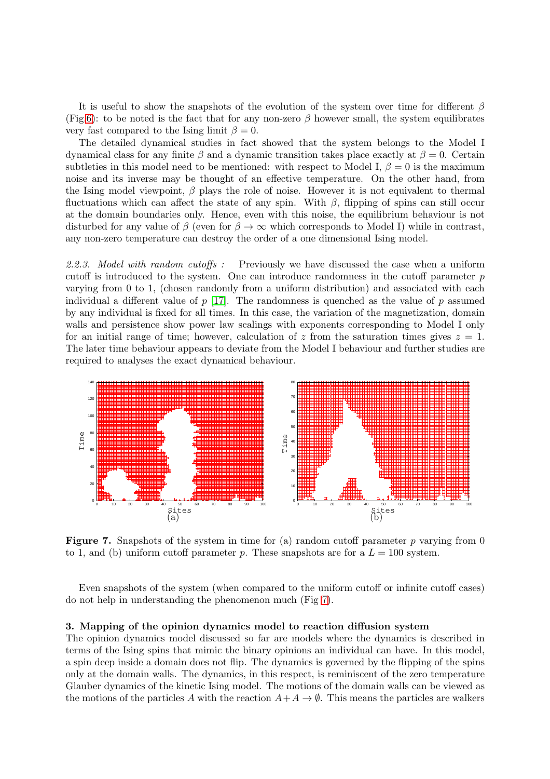It is useful to show the snapshots of the evolution of the system over time for different  $\beta$ (Fig[.6\)](#page-7-0): to be noted is the fact that for any non-zero  $\beta$  however small, the system equilibrates very fast compared to the Ising limit  $\beta = 0$ .

The detailed dynamical studies in fact showed that the system belongs to the Model I dynamical class for any finite  $\beta$  and a dynamic transition takes place exactly at  $\beta = 0$ . Certain subtleties in this model need to be mentioned: with respect to Model I,  $\beta = 0$  is the maximum noise and its inverse may be thought of an effective temperature. On the other hand, from the Ising model viewpoint,  $\beta$  plays the role of noise. However it is not equivalent to thermal fluctuations which can affect the state of any spin. With  $\beta$ , flipping of spins can still occur at the domain boundaries only. Hence, even with this noise, the equilibrium behaviour is not disturbed for any value of  $\beta$  (even for  $\beta \to \infty$  which corresponds to Model I) while in contrast, any non-zero temperature can destroy the order of a one dimensional Ising model.

2.2.3. Model with random cutoffs : Previously we have discussed the case when a uniform cutoff is introduced to the system. One can introduce randomness in the cutoff parameter  $p$ varying from 0 to 1, (chosen randomly from a uniform distribution) and associated with each individual a different value of  $p$  [\[17\]](#page-11-16). The randomness is quenched as the value of  $p$  assumed by any individual is fixed for all times. In this case, the variation of the magnetization, domain walls and persistence show power law scalings with exponents corresponding to Model I only for an initial range of time; however, calculation of z from the saturation times gives  $z = 1$ . The later time behaviour appears to deviate from the Model I behaviour and further studies are required to analyses the exact dynamical behaviour.



<span id="page-8-0"></span>**Figure 7.** Snapshots of the system in time for (a) random cutoff parameter p varying from 0 to 1, and (b) uniform cutoff parameter p. These snapshots are for a  $L = 100$  system.

Even snapshots of the system (when compared to the uniform cutoff or infinite cutoff cases) do not help in understanding the phenomenon much (Fig [7\)](#page-8-0).

#### 3. Mapping of the opinion dynamics model to reaction diffusion system

The opinion dynamics model discussed so far are models where the dynamics is described in terms of the Ising spins that mimic the binary opinions an individual can have. In this model, a spin deep inside a domain does not flip. The dynamics is governed by the flipping of the spins only at the domain walls. The dynamics, in this respect, is reminiscent of the zero temperature Glauber dynamics of the kinetic Ising model. The motions of the domain walls can be viewed as the motions of the particles A with the reaction  $A+A\to\emptyset$ . This means the particles are walkers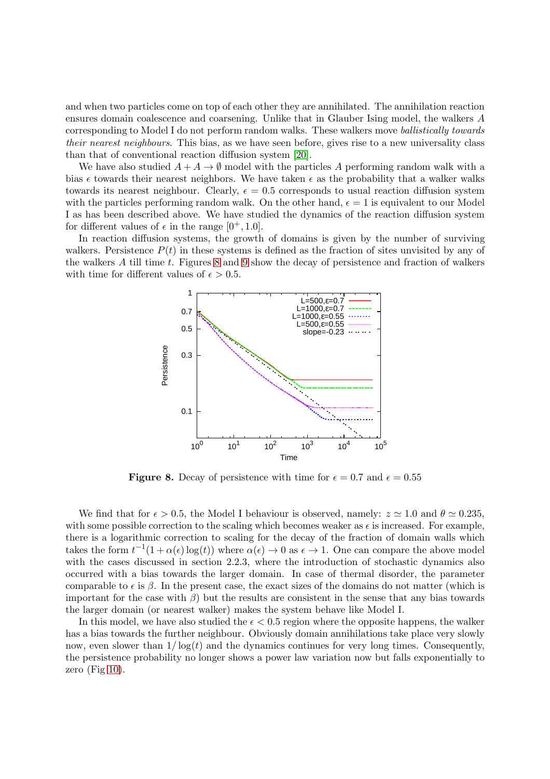and when two particles come on top of each other they are annihilated. The annihilation reaction ensures domain coalescence and coarsening. Unlike that in Glauber Ising model, the walkers A corresponding to Model I do not perform random walks. These walkers move ballistically towards their nearest neighbours. This bias, as we have seen before, gives rise to a new universality class than that of conventional reaction diffusion system [\[20\]](#page-11-19).

We have also studied  $A + A \rightarrow \emptyset$  model with the particles A performing random walk with a bias  $\epsilon$  towards their nearest neighbors. We have taken  $\epsilon$  as the probability that a walker walks towards its nearest neighbour. Clearly,  $\epsilon = 0.5$  corresponds to usual reaction diffusion system with the particles performing random walk. On the other hand,  $\epsilon = 1$  is equivalent to our Model I as has been described above. We have studied the dynamics of the reaction diffusion system for different values of  $\epsilon$  in the range  $[0^+, 1.0]$ .

In reaction diffusion systems, the growth of domains is given by the number of surviving walkers. Persistence  $P(t)$  in these systems is defined as the fraction of sites unvisited by any of the walkers  $A$  till time  $t$ . Figures  $8$  and  $9$  show the decay of persistence and fraction of walkers with time for different values of  $\epsilon > 0.5$ .



<span id="page-9-0"></span>**Figure 8.** Decay of persistence with time for  $\epsilon = 0.7$  and  $\epsilon = 0.55$ 

We find that for  $\epsilon > 0.5$ , the Model I behaviour is observed, namely:  $z \approx 1.0$  and  $\theta \approx 0.235$ . with some possible correction to the scaling which becomes weaker as  $\epsilon$  is increased. For example, there is a logarithmic correction to scaling for the decay of the fraction of domain walls which takes the form  $t^{-1}(1+\alpha(\epsilon)\log(t))$  where  $\alpha(\epsilon) \to 0$  as  $\epsilon \to 1$ . One can compare the above model with the cases discussed in section 2.2.3, where the introduction of stochastic dynamics also occurred with a bias towards the larger domain. In case of thermal disorder, the parameter comparable to  $\epsilon$  is  $\beta$ . In the present case, the exact sizes of the domains do not matter (which is important for the case with  $\beta$ ) but the results are consistent in the sense that any bias towards the larger domain (or nearest walker) makes the system behave like Model I.

In this model, we have also studied the  $\epsilon < 0.5$  region where the opposite happens, the walker has a bias towards the further neighbour. Obviously domain annihilations take place very slowly now, even slower than  $1/\log(t)$  and the dynamics continues for very long times. Consequently, the persistence probability no longer shows a power law variation now but falls exponentially to zero (Fig  $10$ ).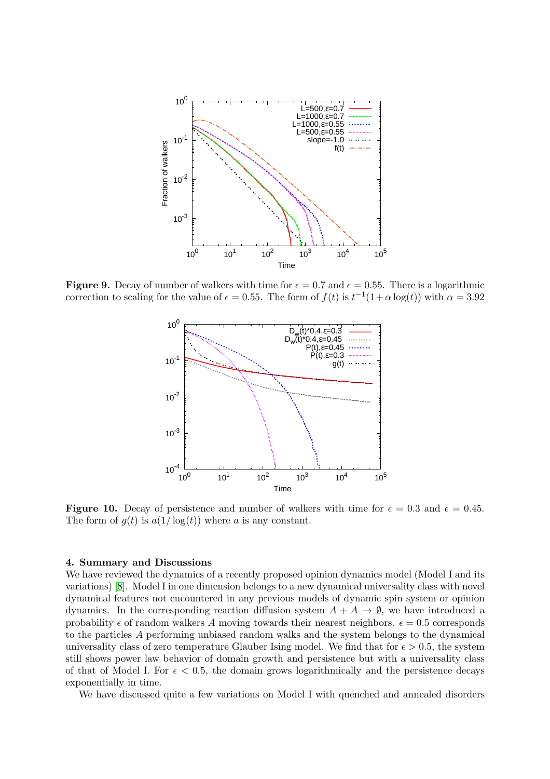

**Figure 9.** Decay of number of walkers with time for  $\epsilon = 0.7$  and  $\epsilon = 0.55$ . There is a logarithmic correction to scaling for the value of  $\epsilon = 0.55$ . The form of  $f(t)$  is  $t^{-1}(1+\alpha \log(t))$  with  $\alpha = 3.92$ 

<span id="page-10-0"></span>

<span id="page-10-1"></span>**Figure 10.** Decay of persistence and number of walkers with time for  $\epsilon = 0.3$  and  $\epsilon = 0.45$ . The form of  $g(t)$  is  $a(1/\log(t))$  where a is any constant.

# 4. Summary and Discussions

We have reviewed the dynamics of a recently proposed opinion dynamics model (Model I and its variations) [\[8\]](#page-11-7). Model I in one dimension belongs to a new dynamical universality class with novel dynamical features not encountered in any previous models of dynamic spin system or opinion dynamics. In the corresponding reaction diffusion system  $A + A \rightarrow \emptyset$ , we have introduced a probability  $\epsilon$  of random walkers A moving towards their nearest neighbors.  $\epsilon = 0.5$  corresponds to the particles A performing unbiased random walks and the system belongs to the dynamical universality class of zero temperature Glauber Ising model. We find that for  $\epsilon > 0.5$ , the system still shows power law behavior of domain growth and persistence but with a universality class of that of Model I. For  $\epsilon < 0.5$ , the domain grows logarithmically and the persistence decays exponentially in time.

We have discussed quite a few variations on Model I with quenched and annealed disorders